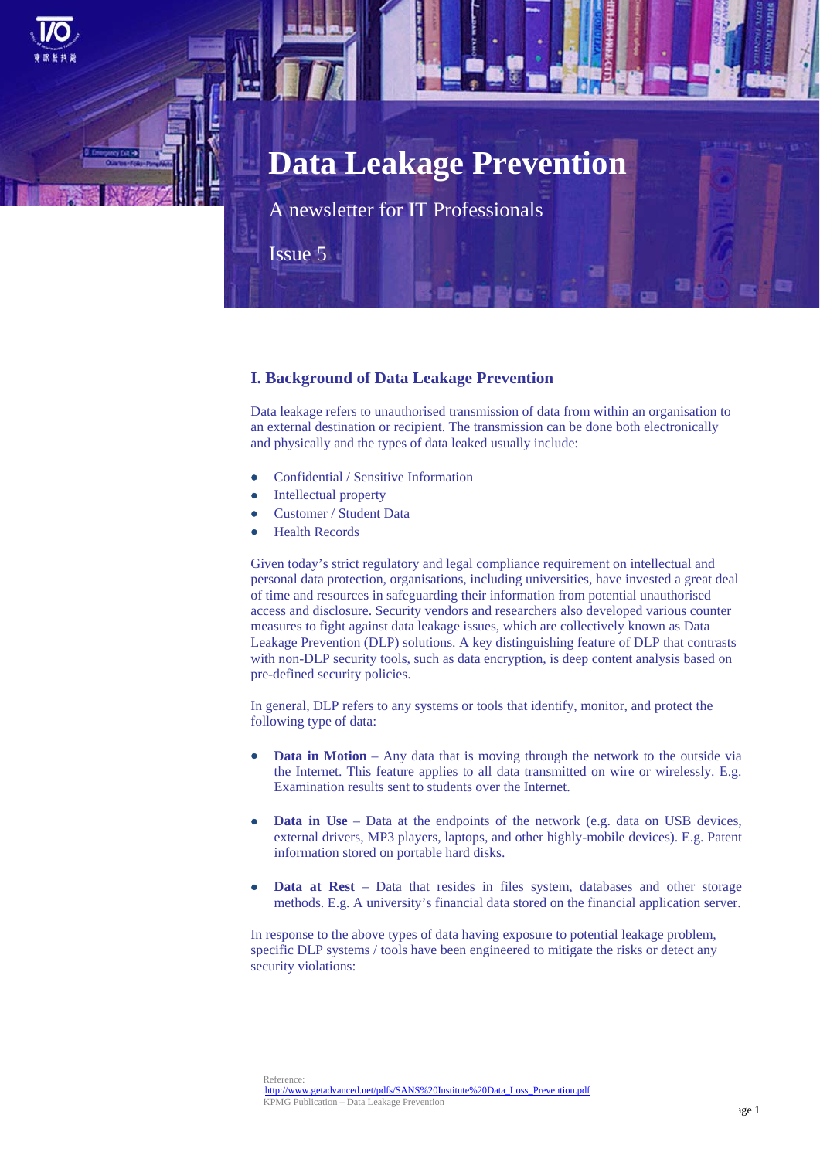# **Data Leakage Prevention**

A newsletter for IT Professionals

Issue 5

# **I. Background of Data Leakage Prevention**

Data leakage refers to unauthorised transmission of data from within an organisation to an external destination or recipient. The transmission can be done both electronically and physically and the types of data leaked usually include:

- Confidential / Sensitive Information
- Intellectual property
- Customer / Student Data
- Health Records

Given today's strict regulatory and legal compliance requirement on intellectual and personal data protection, organisations, including universities, have invested a great deal of time and resources in safeguarding their information from potential unauthorised access and disclosure. Security vendors and researchers also developed various counter measures to fight against data leakage issues, which are collectively known as Data Leakage Prevention (DLP) solutions. A key distinguishing feature of DLP that contrasts with non-DLP security tools, such as data encryption, is deep content analysis based on pre-defined security policies.

In general, DLP refers to any systems or tools that identify, monitor, and protect the following type of data:

- **Data in Motion** Any data that is moving through the network to the outside via the Internet. This feature applies to all data transmitted on wire or wirelessly. E.g. Examination results sent to students over the Internet.
- **Data in Use** Data at the endpoints of the network (e.g. data on USB devices, external drivers, MP3 players, laptops, and other highly-mobile devices). E.g. Patent information stored on portable hard disks.
- **Data at Rest** Data that resides in files system, databases and other storage methods. E.g. A university's financial data stored on the financial application server.

In response to the above types of data having exposure to potential leakage problem, specific DLP systems / tools have been engineered to mitigate the risks or detect any security violations: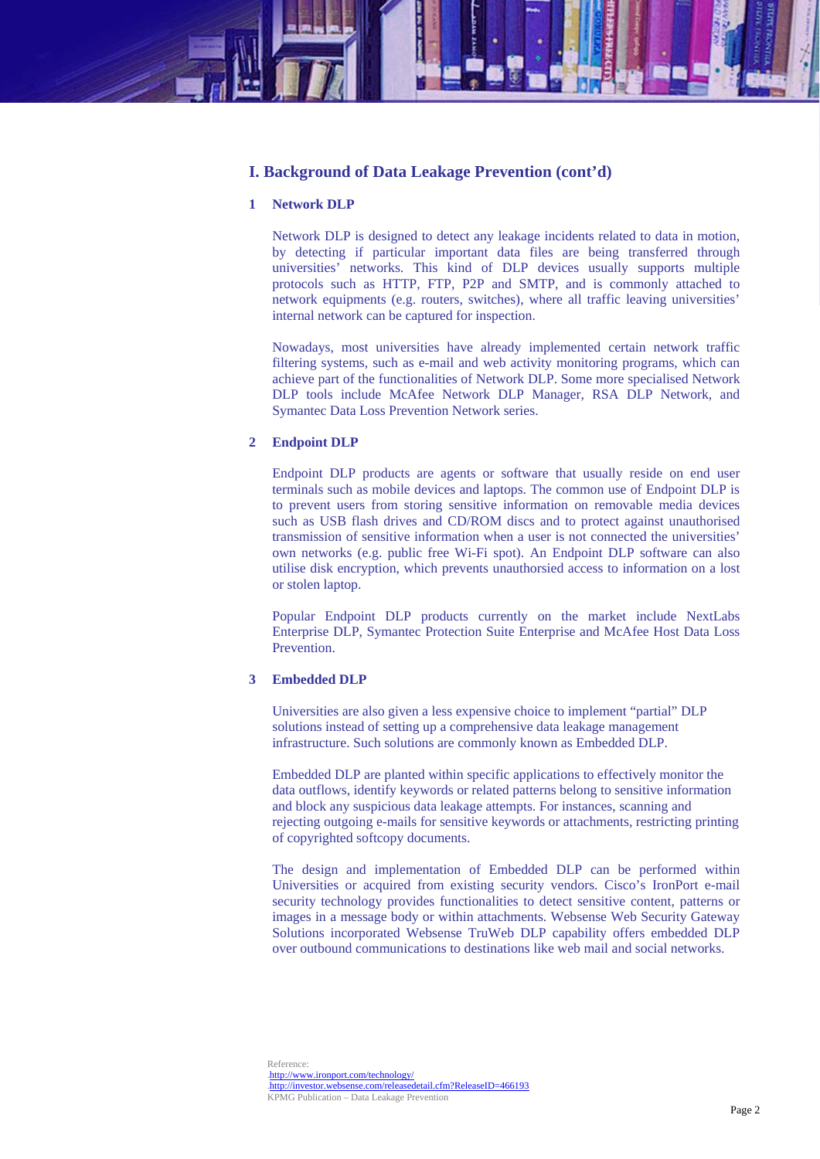# **I. Background of Data Leakage Prevention (cont'd)**

## **1 Network DLP**

Network DLP is designed to detect any leakage incidents related to data in motion, by detecting if particular important data files are being transferred through universities' networks. This kind of DLP devices usually supports multiple protocols such as HTTP, FTP, P2P and SMTP, and is commonly attached to network equipments (e.g. routers, switches), where all traffic leaving universities' internal network can be captured for inspection.

Nowadays, most universities have already implemented certain network traffic filtering systems, such as e-mail and web activity monitoring programs, which can achieve part of the functionalities of Network DLP. Some more specialised Network DLP tools include McAfee Network DLP Manager, RSA DLP Network, and Symantec Data Loss Prevention Network series.

## **2 Endpoint DLP**

Endpoint DLP products are agents or software that usually reside on end user terminals such as mobile devices and laptops. The common use of Endpoint DLP is to prevent users from storing sensitive information on removable media devices such as USB flash drives and CD/ROM discs and to protect against unauthorised transmission of sensitive information when a user is not connected the universities' own networks (e.g. public free Wi-Fi spot). An Endpoint DLP software can also utilise disk encryption, which prevents unauthorsied access to information on a lost or stolen laptop.

Popular Endpoint DLP products currently on the market include NextLabs Enterprise DLP, Symantec Protection Suite Enterprise and McAfee Host Data Loss Prevention.

#### **3 Embedded DLP**

Universities are also given a less expensive choice to implement "partial" DLP solutions instead of setting up a comprehensive data leakage management infrastructure. Such solutions are commonly known as Embedded DLP.

Embedded DLP are planted within specific applications to effectively monitor the data outflows, identify keywords or related patterns belong to sensitive information and block any suspicious data leakage attempts. For instances, scanning and rejecting outgoing e-mails for sensitive keywords or attachments, restricting printing of copyrighted softcopy documents.

The design and implementation of Embedded DLP can be performed within Universities or acquired from existing security vendors. Cisco's IronPort e-mail security technology provides functionalities to detect sensitive content, patterns or images in a message body or within attachments. Websense Web Security Gateway Solutions incorporated Websense TruWeb DLP capability offers embedded DLP over outbound communications to destinations like web mail and social networks.

Reference: 13Hhttp://www.ironport.com/technology/ http://investor.websense.com/releasedetail.cfm?ReleaseID=466193 KPMG Publication – Data Leakage Prevention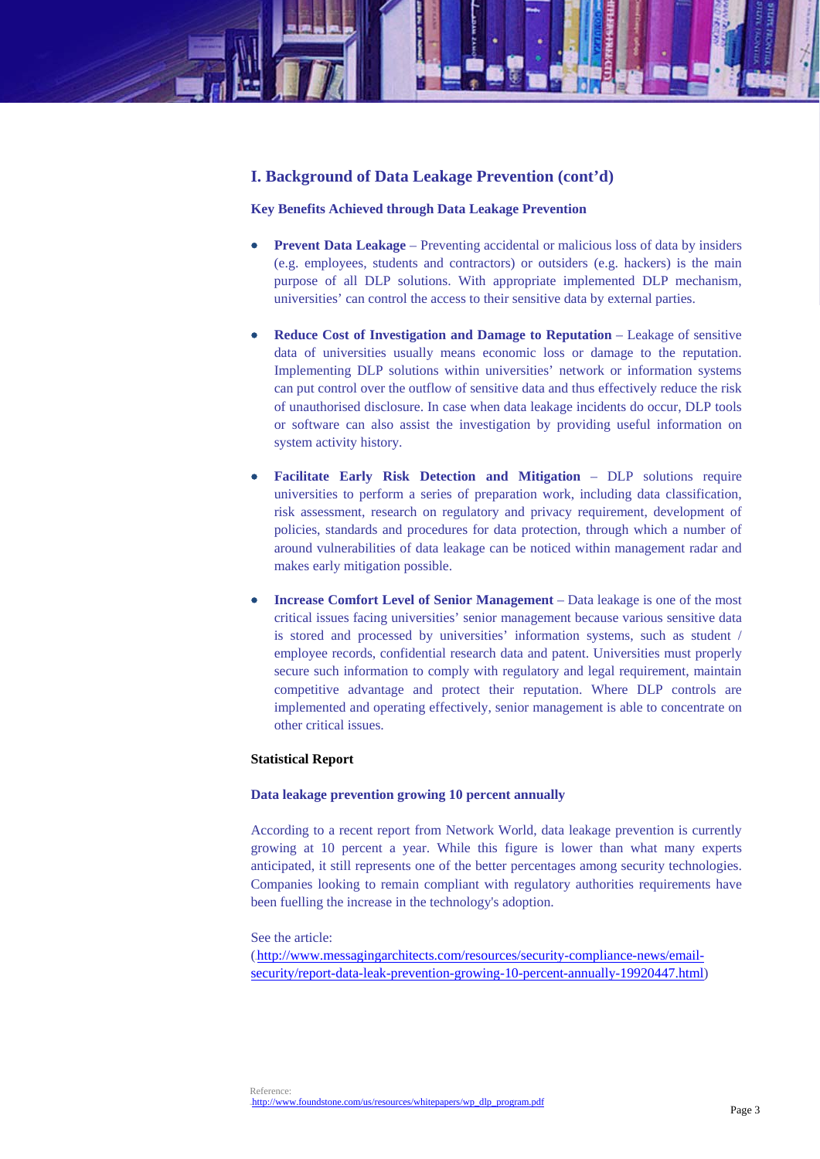# **I. Background of Data Leakage Prevention (cont'd)**

## **Key Benefits Achieved through Data Leakage Prevention**

- **Prevent Data Leakage** Preventing accidental or malicious loss of data by insiders (e.g. employees, students and contractors) or outsiders (e.g. hackers) is the main purpose of all DLP solutions. With appropriate implemented DLP mechanism, universities' can control the access to their sensitive data by external parties.
- **Reduce Cost of Investigation and Damage to Reputation** Leakage of sensitive data of universities usually means economic loss or damage to the reputation. Implementing DLP solutions within universities' network or information systems can put control over the outflow of sensitive data and thus effectively reduce the risk of unauthorised disclosure. In case when data leakage incidents do occur, DLP tools or software can also assist the investigation by providing useful information on system activity history.
- **Facilitate Early Risk Detection and Mitigation** DLP solutions require universities to perform a series of preparation work, including data classification, risk assessment, research on regulatory and privacy requirement, development of policies, standards and procedures for data protection, through which a number of around vulnerabilities of data leakage can be noticed within management radar and makes early mitigation possible.
- **Increase Comfort Level of Senior Management** Data leakage is one of the most critical issues facing universities' senior management because various sensitive data is stored and processed by universities' information systems, such as student / employee records, confidential research data and patent. Universities must properly secure such information to comply with regulatory and legal requirement, maintain competitive advantage and protect their reputation. Where DLP controls are implemented and operating effectively, senior management is able to concentrate on other critical issues.

## **Statistical Report**

#### **Data leakage prevention growing 10 percent annually**

According to a recent report from Network World, data leakage prevention is currently growing at 10 percent a year. While this figure is lower than what many experts anticipated, it still represents one of the better percentages among security technologies. Companies looking to remain compliant with regulatory authorities requirements have been fuelling the increase in the technology's adoption.

#### See the article:

(http://www.messagingarchitects.com/resources/security-compliance-news/emailsecurity/report-data-leak-prevention-growing-10-percent-annually-19920447.html)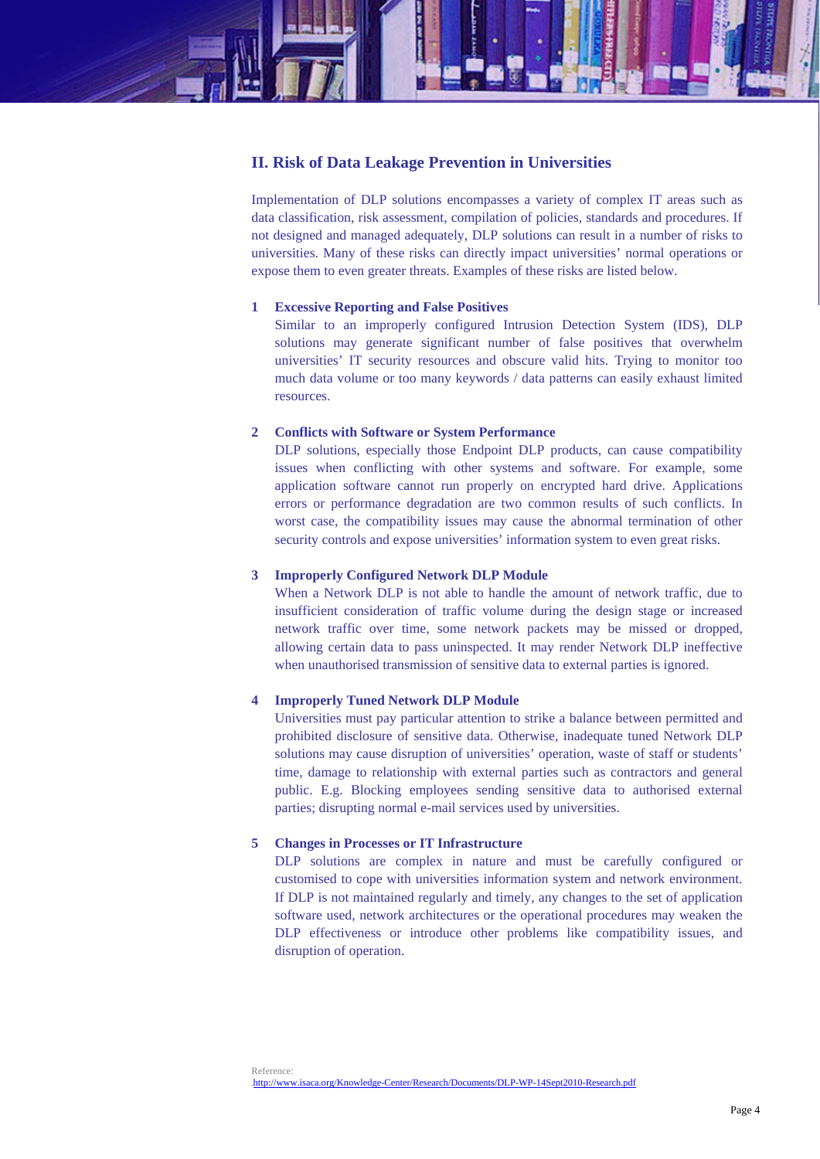

# **II. Risk of Data Leakage Prevention in Universities**

Implementation of DLP solutions encompasses a variety of complex IT areas such as data classification, risk assessment, compilation of policies, standards and procedures. If not designed and managed adequately, DLP solutions can result in a number of risks to universities. Many of these risks can directly impact universities' normal operations or expose them to even greater threats. Examples of these risks are listed below.

## **1 Excessive Reporting and False Positives**

Similar to an improperly configured Intrusion Detection System (IDS), DLP solutions may generate significant number of false positives that overwhelm universities' IT security resources and obscure valid hits. Trying to monitor too much data volume or too many keywords / data patterns can easily exhaust limited resources.

# **2 Conflicts with Software or System Performance**

DLP solutions, especially those Endpoint DLP products, can cause compatibility issues when conflicting with other systems and software. For example, some application software cannot run properly on encrypted hard drive. Applications errors or performance degradation are two common results of such conflicts. In worst case, the compatibility issues may cause the abnormal termination of other security controls and expose universities' information system to even great risks.

# **3 Improperly Configured Network DLP Module**

When a Network DLP is not able to handle the amount of network traffic, due to insufficient consideration of traffic volume during the design stage or increased network traffic over time, some network packets may be missed or dropped, allowing certain data to pass uninspected. It may render Network DLP ineffective when unauthorised transmission of sensitive data to external parties is ignored.

# **4 Improperly Tuned Network DLP Module**

Universities must pay particular attention to strike a balance between permitted and prohibited disclosure of sensitive data. Otherwise, inadequate tuned Network DLP solutions may cause disruption of universities' operation, waste of staff or students' time, damage to relationship with external parties such as contractors and general public. E.g. Blocking employees sending sensitive data to authorised external parties; disrupting normal e-mail services used by universities.

## **5 Changes in Processes or IT Infrastructure**

DLP solutions are complex in nature and must be carefully configured or customised to cope with universities information system and network environment. If DLP is not maintained regularly and timely, any changes to the set of application software used, network architectures or the operational procedures may weaken the DLP effectiveness or introduce other problems like compatibility issues, and disruption of operation.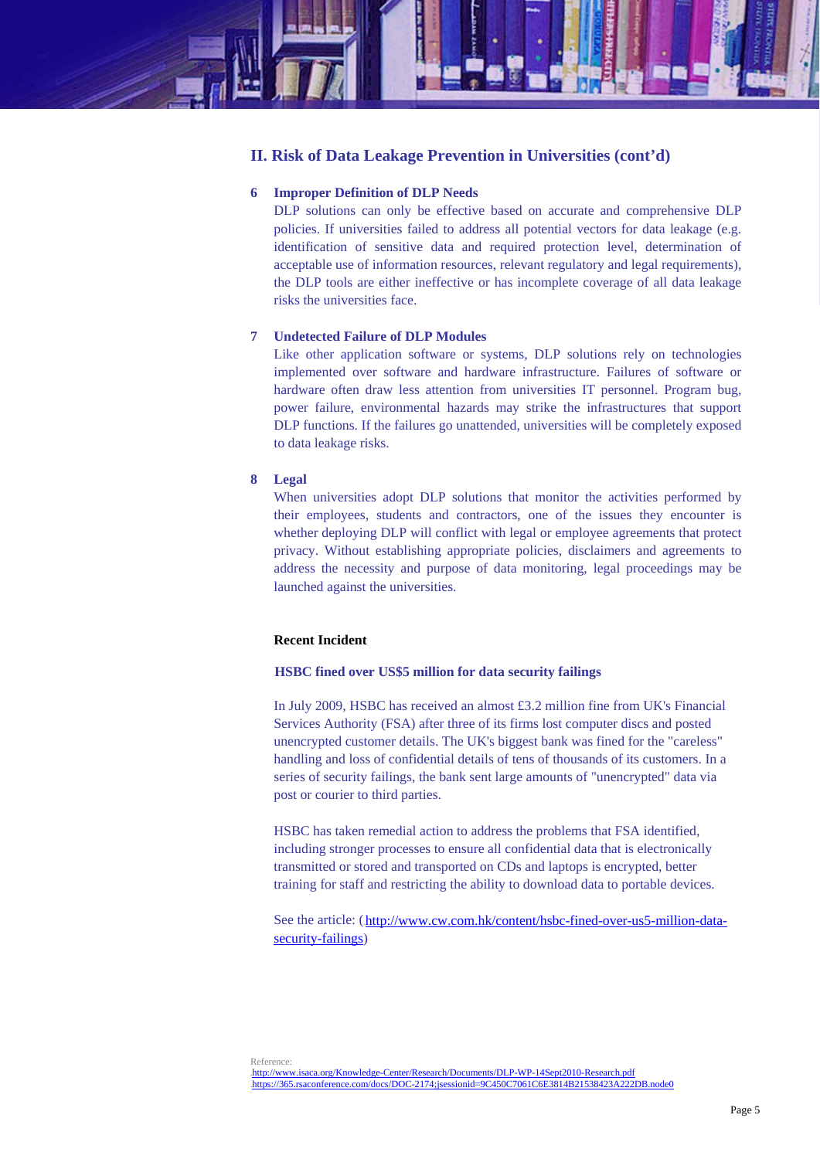

# **II. Risk of Data Leakage Prevention in Universities (cont'd)**

# **6 Improper Definition of DLP Needs**

DLP solutions can only be effective based on accurate and comprehensive DLP policies. If universities failed to address all potential vectors for data leakage (e.g. identification of sensitive data and required protection level, determination of acceptable use of information resources, relevant regulatory and legal requirements), the DLP tools are either ineffective or has incomplete coverage of all data leakage risks the universities face.

## **7 Undetected Failure of DLP Modules**

Like other application software or systems, DLP solutions rely on technologies implemented over software and hardware infrastructure. Failures of software or hardware often draw less attention from universities IT personnel. Program bug, power failure, environmental hazards may strike the infrastructures that support DLP functions. If the failures go unattended, universities will be completely exposed to data leakage risks.

# **8 Legal**

When universities adopt DLP solutions that monitor the activities performed by their employees, students and contractors, one of the issues they encounter is whether deploying DLP will conflict with legal or employee agreements that protect privacy. Without establishing appropriate policies, disclaimers and agreements to address the necessity and purpose of data monitoring, legal proceedings may be launched against the universities.

#### **Recent Incident**

## **HSBC fined over US\$5 million for data security failings**

In July 2009, HSBC has received an almost £3.2 million fine from UK's Financial Services Authority (FSA) after three of its firms lost computer discs and posted unencrypted customer details. The UK's biggest bank was fined for the "careless" handling and loss of confidential details of tens of thousands of its customers. In a series of security failings, the bank sent large amounts of "unencrypted" data via post or courier to third parties.

HSBC has taken remedial action to address the problems that FSA identified, including stronger processes to ensure all confidential data that is electronically transmitted or stored and transported on CDs and laptops is encrypted, better training for staff and restricting the ability to download data to portable devices.

See the article: (http://www.cw.com.hk/content/hsbc-fined-over-us5-million-datasecurity-failings)

Reference: http://www.isaca.org/Knowledge-Center/Research/Documents/DLP-WP-14Sept2010-Research.pdf 7Hhttps://365.rsaconference.com/docs/DOC-2174;jsessionid=9C450C7061C6E3814B21538423A222DB.node0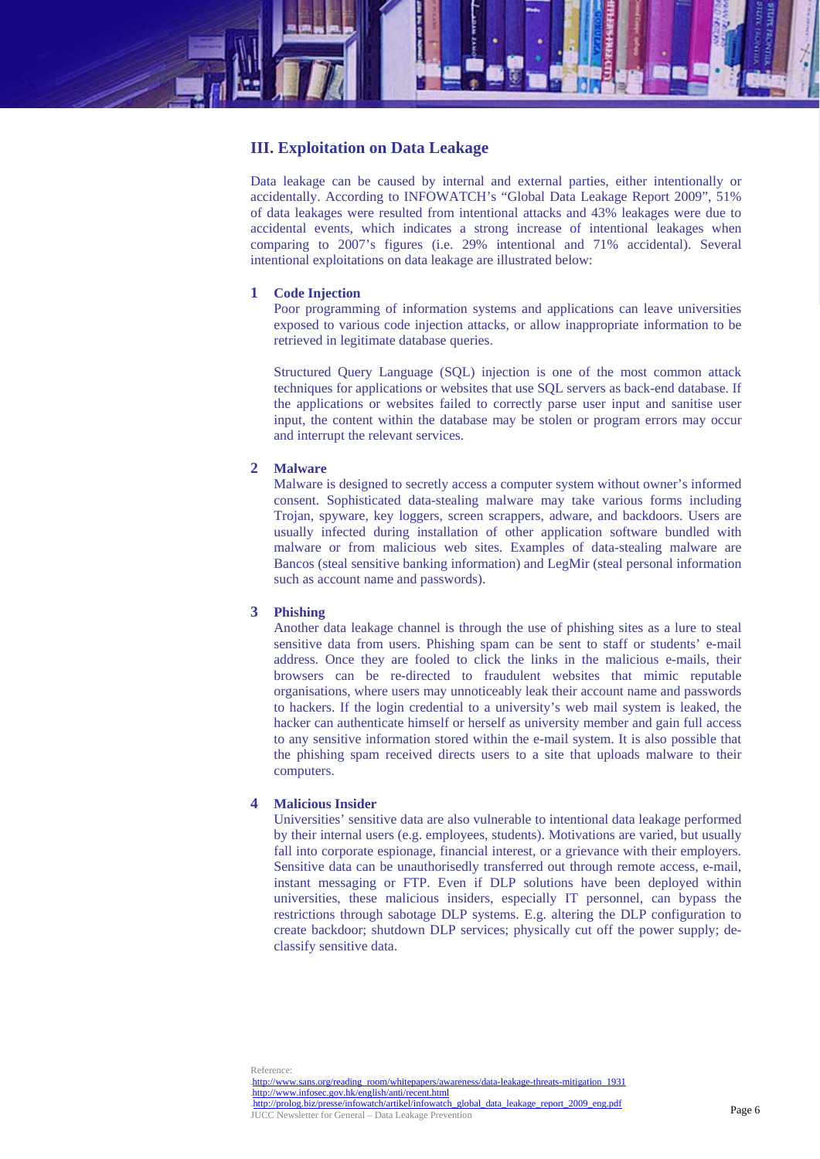

# **III. Exploitation on Data Leakage**

Data leakage can be caused by internal and external parties, either intentionally or accidentally. According to INFOWATCH's "Global Data Leakage Report 2009", 51% of data leakages were resulted from intentional attacks and 43% leakages were due to accidental events, which indicates a strong increase of intentional leakages when comparing to 2007's figures (i.e. 29% intentional and 71% accidental). Several intentional exploitations on data leakage are illustrated below:

## **1 Code Injection**

Poor programming of information systems and applications can leave universities exposed to various code injection attacks, or allow inappropriate information to be retrieved in legitimate database queries.

Structured Query Language (SQL) injection is one of the most common attack techniques for applications or websites that use SQL servers as back-end database. If the applications or websites failed to correctly parse user input and sanitise user input, the content within the database may be stolen or program errors may occur and interrupt the relevant services.

## **2 Malware**

Malware is designed to secretly access a computer system without owner's informed consent. Sophisticated data-stealing malware may take various forms including Trojan, spyware, key loggers, screen scrappers, adware, and backdoors. Users are usually infected during installation of other application software bundled with malware or from malicious web sites. Examples of data-stealing malware are Bancos (steal sensitive banking information) and LegMir (steal personal information such as account name and passwords).

## **3 Phishing**

Another data leakage channel is through the use of phishing sites as a lure to steal sensitive data from users. Phishing spam can be sent to staff or students' e-mail address. Once they are fooled to click the links in the malicious e-mails, their browsers can be re-directed to fraudulent websites that mimic reputable organisations, where users may unnoticeably leak their account name and passwords to hackers. If the login credential to a university's web mail system is leaked, the hacker can authenticate himself or herself as university member and gain full access to any sensitive information stored within the e-mail system. It is also possible that the phishing spam received directs users to a site that uploads malware to their computers.

## **4 Malicious Insider**

Universities' sensitive data are also vulnerable to intentional data leakage performed by their internal users (e.g. employees, students). Motivations are varied, but usually fall into corporate espionage, financial interest, or a grievance with their employers. Sensitive data can be unauthorisedly transferred out through remote access, e-mail, instant messaging or FTP. Even if DLP solutions have been deployed within universities, these malicious insiders, especially IT personnel, can bypass the restrictions through sabotage DLP systems. E.g. altering the DLP configuration to create backdoor; shutdown DLP services; physically cut off the power supply; declassify sensitive data.

Reference: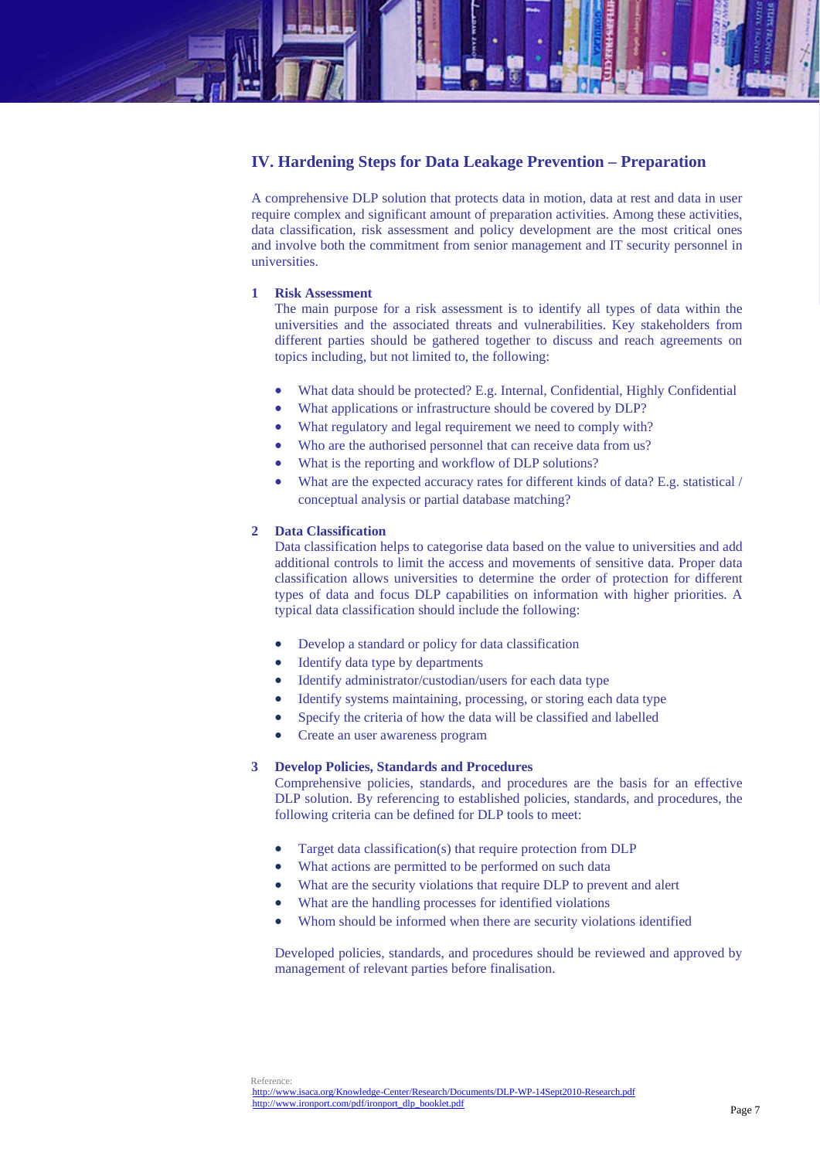# **IV. Hardening Steps for Data Leakage Prevention – Preparation**

A comprehensive DLP solution that protects data in motion, data at rest and data in user require complex and significant amount of preparation activities. Among these activities, data classification, risk assessment and policy development are the most critical ones and involve both the commitment from senior management and IT security personnel in universities.

## **1 Risk Assessment**

The main purpose for a risk assessment is to identify all types of data within the universities and the associated threats and vulnerabilities. Key stakeholders from different parties should be gathered together to discuss and reach agreements on topics including, but not limited to, the following:

- What data should be protected? E.g. Internal, Confidential, Highly Confidential
- What applications or infrastructure should be covered by DLP?
- What regulatory and legal requirement we need to comply with?
- Who are the authorised personnel that can receive data from us?
- What is the reporting and workflow of DLP solutions?
- What are the expected accuracy rates for different kinds of data? E.g. statistical / conceptual analysis or partial database matching?

# **2 Data Classification**

Data classification helps to categorise data based on the value to universities and add additional controls to limit the access and movements of sensitive data. Proper data classification allows universities to determine the order of protection for different types of data and focus DLP capabilities on information with higher priorities. A typical data classification should include the following:

- Develop a standard or policy for data classification
- Identify data type by departments
- Identify administrator/custodian/users for each data type
- Identify systems maintaining, processing, or storing each data type
- Specify the criteria of how the data will be classified and labelled
- Create an user awareness program

#### **3 Develop Policies, Standards and Procedures**

Comprehensive policies, standards, and procedures are the basis for an effective DLP solution. By referencing to established policies, standards, and procedures, the following criteria can be defined for DLP tools to meet:

- Target data classification(s) that require protection from DLP
- What actions are permitted to be performed on such data
- What are the security violations that require DLP to prevent and alert
- What are the handling processes for identified violations
- Whom should be informed when there are security violations identified

Developed policies, standards, and procedures should be reviewed and approved by management of relevant parties before finalisation.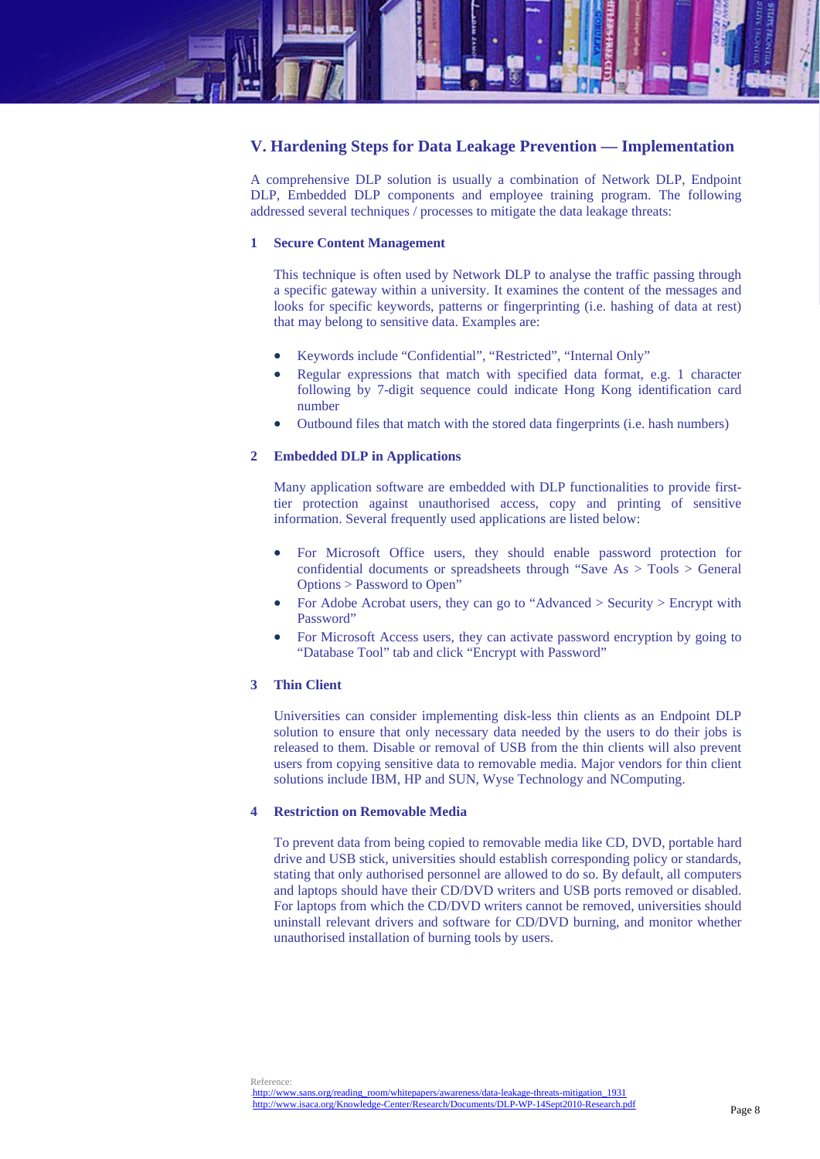

# **V. Hardening Steps for Data Leakage Prevention — Implementation**

A comprehensive DLP solution is usually a combination of Network DLP, Endpoint DLP, Embedded DLP components and employee training program. The following addressed several techniques / processes to mitigate the data leakage threats:

#### **1 Secure Content Management**

This technique is often used by Network DLP to analyse the traffic passing through a specific gateway within a university. It examines the content of the messages and looks for specific keywords, patterns or fingerprinting (i.e. hashing of data at rest) that may belong to sensitive data. Examples are:

- Keywords include "Confidential", "Restricted", "Internal Only"
- Regular expressions that match with specified data format, e.g. 1 character following by 7-digit sequence could indicate Hong Kong identification card number
- Outbound files that match with the stored data fingerprints (i.e. hash numbers)

#### **2 Embedded DLP in Applications**

Many application software are embedded with DLP functionalities to provide firsttier protection against unauthorised access, copy and printing of sensitive information. Several frequently used applications are listed below:

- For Microsoft Office users, they should enable password protection for confidential documents or spreadsheets through "Save As > Tools > General Options > Password to Open"
- For Adobe Acrobat users, they can go to "Advanced > Security > Encrypt with Password"
- For Microsoft Access users, they can activate password encryption by going to "Database Tool" tab and click "Encrypt with Password"

## **3 Thin Client**

Universities can consider implementing disk-less thin clients as an Endpoint DLP solution to ensure that only necessary data needed by the users to do their jobs is released to them. Disable or removal of USB from the thin clients will also prevent users from copying sensitive data to removable media. Major vendors for thin client solutions include IBM, HP and SUN, Wyse Technology and NComputing.

# **4 Restriction on Removable Media**

To prevent data from being copied to removable media like CD, DVD, portable hard drive and USB stick, universities should establish corresponding policy or standards, stating that only authorised personnel are allowed to do so. By default, all computers and laptops should have their CD/DVD writers and USB ports removed or disabled. For laptops from which the CD/DVD writers cannot be removed, universities should uninstall relevant drivers and software for CD/DVD burning, and monitor whether unauthorised installation of burning tools by users.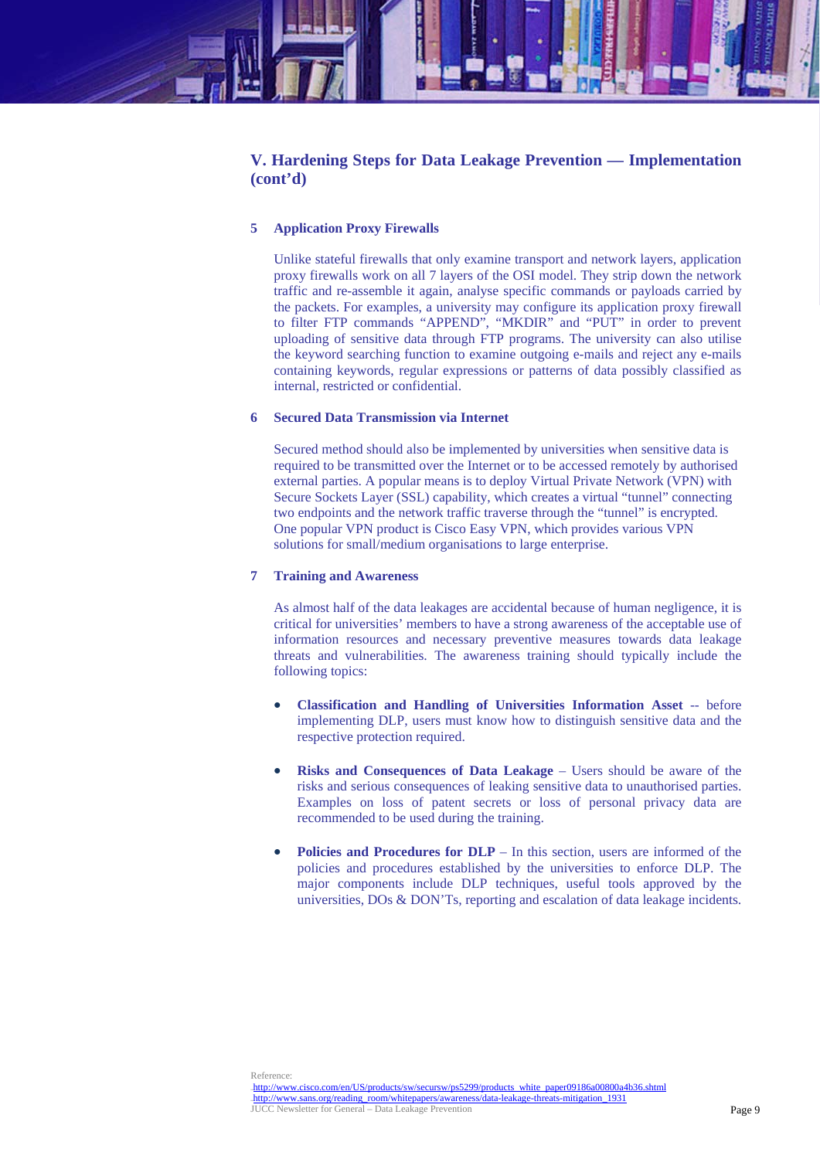

# **V. Hardening Steps for Data Leakage Prevention — Implementation (cont'd)**

## **5 Application Proxy Firewalls**

Unlike stateful firewalls that only examine transport and network layers, application proxy firewalls work on all 7 layers of the OSI model. They strip down the network traffic and re-assemble it again, analyse specific commands or payloads carried by the packets. For examples, a university may configure its application proxy firewall to filter FTP commands "APPEND", "MKDIR" and "PUT" in order to prevent uploading of sensitive data through FTP programs. The university can also utilise the keyword searching function to examine outgoing e-mails and reject any e-mails containing keywords, regular expressions or patterns of data possibly classified as internal, restricted or confidential.

## **6 Secured Data Transmission via Internet**

Secured method should also be implemented by universities when sensitive data is required to be transmitted over the Internet or to be accessed remotely by authorised external parties. A popular means is to deploy Virtual Private Network (VPN) with Secure Sockets Layer (SSL) capability, which creates a virtual "tunnel" connecting two endpoints and the network traffic traverse through the "tunnel" is encrypted. One popular VPN product is Cisco Easy VPN, which provides various VPN solutions for small/medium organisations to large enterprise.

## **7 Training and Awareness**

As almost half of the data leakages are accidental because of human negligence, it is critical for universities' members to have a strong awareness of the acceptable use of information resources and necessary preventive measures towards data leakage threats and vulnerabilities. The awareness training should typically include the following topics:

- **Classification and Handling of Universities Information Asset** -- before implementing DLP, users must know how to distinguish sensitive data and the respective protection required.
- **Risks and Consequences of Data Leakage** Users should be aware of the risks and serious consequences of leaking sensitive data to unauthorised parties. Examples on loss of patent secrets or loss of personal privacy data are recommended to be used during the training.
- **Policies and Procedures for DLP** In this section, users are informed of the policies and procedures established by the universities to enforce DLP. The major components include DLP techniques, useful tools approved by the universities, DOs & DON'Ts, reporting and escalation of data leakage incidents.

Reference:

<sup>11</sup>Hhttp://www.cisco.com/en/US/products/sw/secursw/ps5299/products\_white\_paper09186a00800a4b36.shtml 12Hhttp://www.sans.org/reading\_room/whitepapers/awareness/data-leakage-threats-mitigation\_1931 JUCC Newsletter for General – Data Leakage Prevention